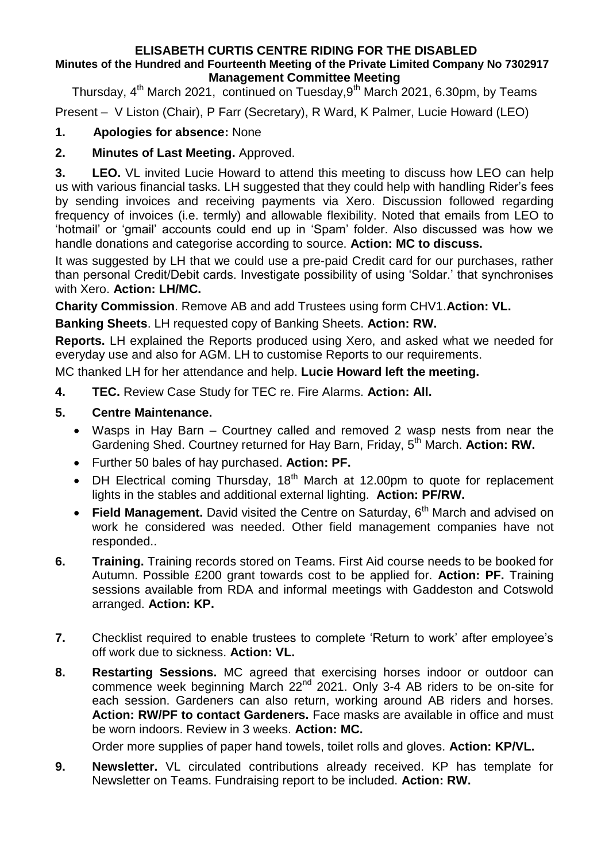## **ELISABETH CURTIS CENTRE RIDING FOR THE DISABLED Minutes of the Hundred and Fourteenth Meeting of the Private Limited Company No 7302917 Management Committee Meeting**

Thursday, 4<sup>th</sup> March 2021, continued on Tuesday,9<sup>th</sup> March 2021, 6.30pm, by Teams

Present – V Liston (Chair), P Farr (Secretary), R Ward, K Palmer, Lucie Howard (LEO)

## **1. Apologies for absence:** None

## **2. Minutes of Last Meeting.** Approved.

**3. LEO.** VL invited Lucie Howard to attend this meeting to discuss how LEO can help us with various financial tasks. LH suggested that they could help with handling Rider's fees by sending invoices and receiving payments via Xero. Discussion followed regarding frequency of invoices (i.e. termly) and allowable flexibility. Noted that emails from LEO to 'hotmail' or 'gmail' accounts could end up in 'Spam' folder. Also discussed was how we handle donations and categorise according to source. **Action: MC to discuss.**

It was suggested by LH that we could use a pre-paid Credit card for our purchases, rather than personal Credit/Debit cards. Investigate possibility of using 'Soldar.' that synchronises with Xero. **Action: LH/MC.**

**Charity Commission**. Remove AB and add Trustees using form CHV1.**Action: VL.**

**Banking Sheets**. LH requested copy of Banking Sheets. **Action: RW.**

**Reports.** LH explained the Reports produced using Xero, and asked what we needed for everyday use and also for AGM. LH to customise Reports to our requirements.

MC thanked LH for her attendance and help. **Lucie Howard left the meeting.**

**4. TEC.** Review Case Study for TEC re. Fire Alarms. **Action: All.**

## **5. Centre Maintenance.**

- Wasps in Hay Barn Courtney called and removed 2 wasp nests from near the Gardening Shed. Courtney returned for Hay Barn, Friday, 5<sup>th</sup> March. **Action: RW.**
- Further 50 bales of hay purchased. **Action: PF.**
- $\bullet$  DH Electrical coming Thursday, 18<sup>th</sup> March at 12.00pm to quote for replacement lights in the stables and additional external lighting. **Action: PF/RW.**
- Field Management. David visited the Centre on Saturday, 6<sup>th</sup> March and advised on work he considered was needed. Other field management companies have not responded..
- **6. Training.** Training records stored on Teams. First Aid course needs to be booked for Autumn. Possible £200 grant towards cost to be applied for. **Action: PF.** Training sessions available from RDA and informal meetings with Gaddeston and Cotswold arranged. **Action: KP.**
- **7.** Checklist required to enable trustees to complete 'Return to work' after employee's off work due to sickness. **Action: VL.**
- **8. Restarting Sessions.** MC agreed that exercising horses indoor or outdoor can commence week beginning March 22<sup>nd</sup> 2021. Only 3-4 AB riders to be on-site for each session. Gardeners can also return, working around AB riders and horses. **Action: RW/PF to contact Gardeners.** Face masks are available in office and must be worn indoors. Review in 3 weeks. **Action: MC.**

Order more supplies of paper hand towels, toilet rolls and gloves. **Action: KP/VL.**

**9. Newsletter.** VL circulated contributions already received. KP has template for Newsletter on Teams. Fundraising report to be included. **Action: RW.**